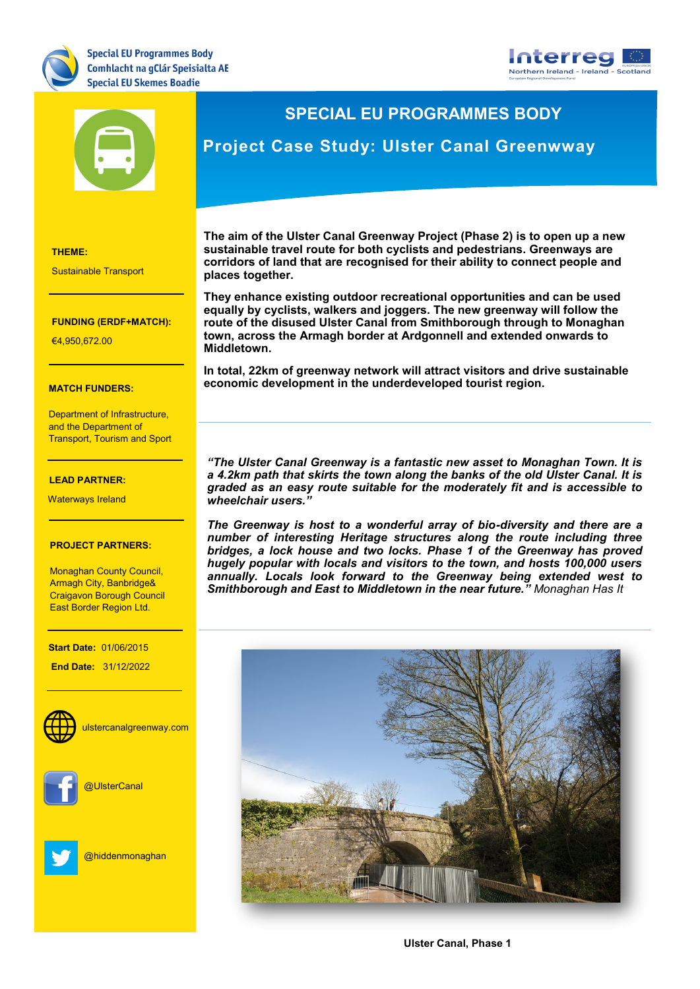





## **SPECIAL EU PROGRAMMES BODY**

## **Project Case Study: Ulster Canal Greenwway**

**THEME:**

Sustainable Transport

### **FUNDING (ERDF+MATCH):**

**THEME:** €4,950,672.00

### **MATCH FUNDERS:**

**FUNDING:** Department of Infrastructure, and the Department of Transport, Tourism and Sport

## €7,727,271.20 **LEAD PARTNER:**

Waterways Ireland

### **PROJECT PARTNERS:**

Monaghan County Council, Craigavon Borough Council East Border Region Ltd.<br>. Armagh City, Banbridge&

**LEAD PARTNER:**

**Start Date:** 01/06/2015

**End Date: 31/12/2022** 



**WEBSITE:** ulstercanalgreenway.com

Keith.Thornbury@dkit.ie



**Social Media:** @UlsterCanal



[@hiddenmonaghan](https://twitter.com/hiddenmonaghan)

**The aim of the Ulster Canal Greenway Project (Phase 2) is to open up a new sustainable travel route for both cyclists and pedestrians. Greenways are corridors of land that are recognised for their ability to connect people and places together.** 

**They enhance existing outdoor recreational opportunities and can be used equally by cyclists, walkers and joggers. The new greenway will follow the route of the disused Ulster Canal from Smithborough through to Monaghan town, across the Armagh border at Ardgonnell and extended onwards to Middletown.** 

**In total, 22km of greenway network will attract visitors and drive sustainable economic development in the underdeveloped tourist region.** 

*"The Ulster Canal Greenway is a fantastic new asset to Monaghan Town. It is a 4.2km path that skirts the town along the banks of the old Ulster Canal. It is graded as an easy route suitable for the moderately fit and is accessible to wheelchair users."*

*The Greenway is host to a wonderful array of bio-diversity and there are a number of interesting Heritage structures along the route including three bridges, a lock house and two locks. Phase 1 of the Greenway has proved hugely popular with locals and visitors to the town, and hosts 100,000 users annually. Locals look forward to the Greenway being extended west to Smithborough and East to Middletown in the near future." Monaghan Has It*